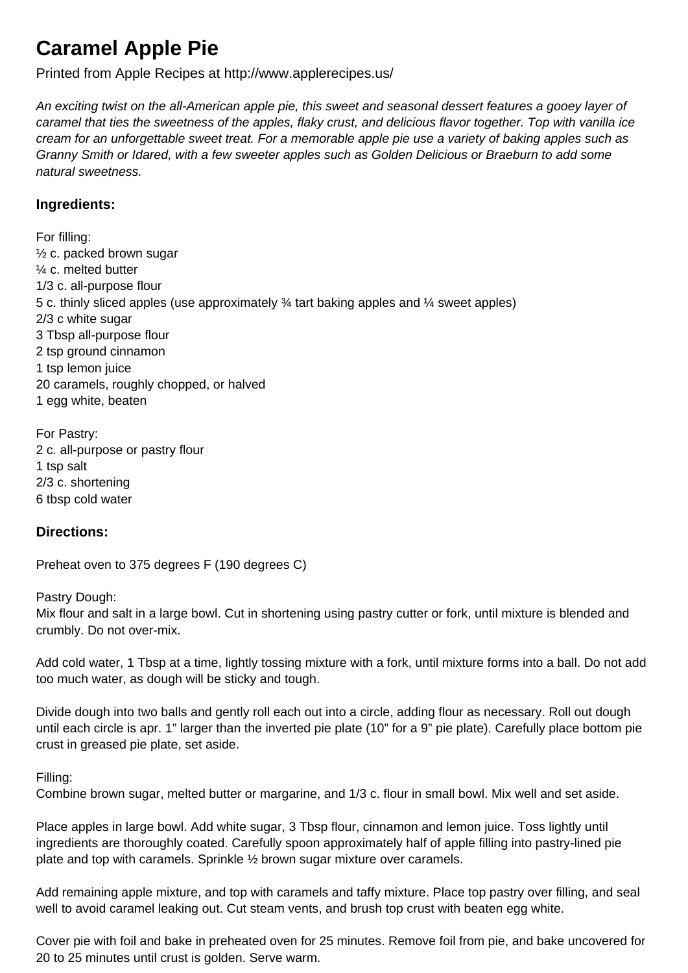## **Caramel Apple Pie**

Printed from Apple Recipes at http://www.applerecipes.us/

An exciting twist on the all-American apple pie, this sweet and seasonal dessert features a gooey layer of caramel that ties the sweetness of the apples, flaky crust, and delicious flavor together. Top with vanilla ice cream for an unforgettable sweet treat. For a memorable apple pie use a variety of baking apples such as Granny Smith or Idared, with a few sweeter apples such as Golden Delicious or Braeburn to add some natural sweetness.

## **Ingredients:**

For filling:  $\frac{1}{2}$  c. packed brown sugar ¼ c. melted butter 1/3 c. all-purpose flour 5 c. thinly sliced apples (use approximately ¾ tart baking apples and ¼ sweet apples) 2/3 c white sugar 3 Tbsp all-purpose flour 2 tsp ground cinnamon 1 tsp lemon juice 20 caramels, roughly chopped, or halved 1 egg white, beaten

For Pastry: 2 c. all-purpose or pastry flour 1 tsp salt 2/3 c. shortening 6 tbsp cold water

## **Directions:**

Preheat oven to 375 degrees F (190 degrees C)

Pastry Dough:

Mix flour and salt in a large bowl. Cut in shortening using pastry cutter or fork, until mixture is blended and crumbly. Do not over-mix.

Add cold water, 1 Tbsp at a time, lightly tossing mixture with a fork, until mixture forms into a ball. Do not add too much water, as dough will be sticky and tough.

Divide dough into two balls and gently roll each out into a circle, adding flour as necessary. Roll out dough until each circle is apr. 1" larger than the inverted pie plate (10" for a 9" pie plate). Carefully place bottom pie crust in greased pie plate, set aside.

## Filling:

Combine brown sugar, melted butter or margarine, and 1/3 c. flour in small bowl. Mix well and set aside.

Place apples in large bowl. Add white sugar, 3 Tbsp flour, cinnamon and lemon juice. Toss lightly until ingredients are thoroughly coated. Carefully spoon approximately half of apple filling into pastry-lined pie plate and top with caramels. Sprinkle ½ brown sugar mixture over caramels.

Add remaining apple mixture, and top with caramels and taffy mixture. Place top pastry over filling, and seal well to avoid caramel leaking out. Cut steam vents, and brush top crust with beaten egg white.

Cover pie with foil and bake in preheated oven for 25 minutes. Remove foil from pie, and bake uncovered for 20 to 25 minutes until crust is golden. Serve warm.